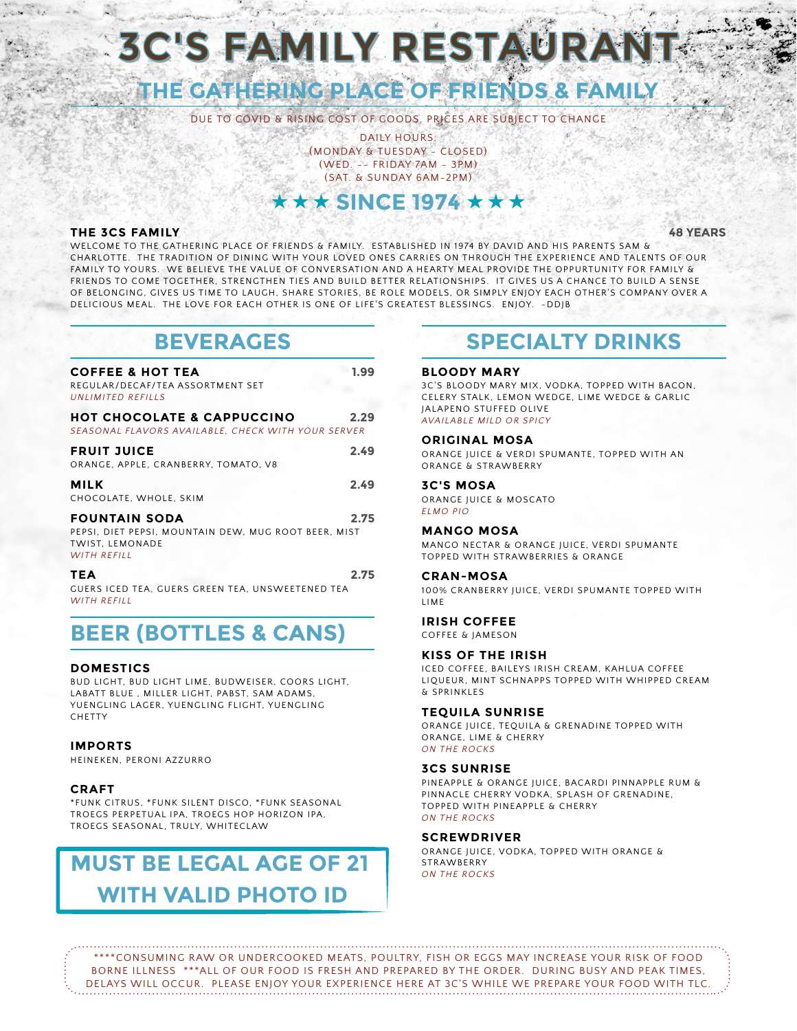# **3C'S FAMILY RESTAUR**

## **THE GATHERING PLACE OF FRIENDS & FAMILY**

DUE TO COVID & RISING COST OF GOODS, PRICES ARE SUBJECT TO CHANGE

DAILY HOURS: (MONDAY & TUESDAY - CLOSED) (WED. -- FRIDAY 7AM - 3PM) (SAT. & SUNDAY 6AM-2PM)

### $\star$  SINCE 1974  $\star$   $\star$

#### **THE 3CS FAMILY 48 YEARS**

WELCOME TO THE GATHERING PLACE OF FRIENDS & FAMILY. ESTABLISHED IN 1974 BY DAVID AND HIS PARENTS SAM & CHARLOTTE. THE TRADITION OF DINING WITH YOUR LOVED ONES CARRIES ON THROUGH THE EXPERIENCE AND TALENTS OF OUR FAMILY TO YOURS. WE BELIEVE THE VALUE OF CONVERSATION AND A HEARTY MEAL PROVIDE THE OPPURTUNITY FOR FAMILY & FRIENDS TO COME TOGETHER, STRENGTHEN TIES AND BUILD BETTER RELATIONSHIPS. IT GIVES US A CHANCE TO BUILD A SENSE OF BELONGING, GIVES US TIME TO LAUGH, SHARE STORIES, BE ROLE MODELS, OR SIMPLY ENJOY EACH OTHER'S COMPANY OVER A DELICIOUS MEAL. THE LOVE FOR EACH OTHER IS ONE OF LIFE'S GREATEST BLESSINGS. ENJOY. -DDJB

### **BEVERAGES**

| <b>COFFEE &amp; HOT TEA</b><br>REGULAR/DECAF/TEA ASSORTMENT SET<br>UNLIMITED REFILLS                                         | 1.99 |
|------------------------------------------------------------------------------------------------------------------------------|------|
| <b>HOT CHOCOLATE &amp; CAPPUCCINO</b><br>SEASONAL FLAVORS AVAILABLE, CHECK WITH YOUR SERVER                                  | 2.29 |
| <b>FRUIT JUICE</b><br>ORANGE, APPLE, CRANBERRY, TOMATO, V8                                                                   | 2.49 |
| <b>MILK</b><br>CHOCOLATE, WHOLE, SKIM                                                                                        | 2.49 |
| <b>FOUNTAIN SODA</b><br>PEPSI, DIET PEPSI, MOUNTAIN DEW, MUG ROOT BEER, MIST<br><b>TWIST. LEMONADE</b><br><b>WITH REFILL</b> | 2.75 |
| TEA<br>GUERS ICED TEA, GUERS GREEN TEA, UNSWEETENED TEA                                                                      | 2.75 |

*WITH REFILL*

## **BEER (BOTTLES & CANS)**

#### **DOMESTICS**

BUD LIGHT, BUD LIGHT LIME, BUDWEISER, COORS LIGHT, LABATT BLUE , MILLER LIGHT, PABST, SAM ADAMS, YUENGLING LAGER, YUENGLING FLIGHT, YUENGLING CHETTY

#### **IMPORTS**

HEINEKEN, PERONI AZZURRO

#### **CRAFT**

\*FUNK CITRUS, \*FUNK SILENT DISCO, \*FUNK SEASONAL TROEGS PERPETUAL IPA, TROEGS HOP HORIZON IPA, TROEGS SEASONAL, TRULY, WHITECLAW

## **MUST BE LEGAL AGE OF 21 WITH VALID PHOTO ID**

### **SPECIALTY DRINKS**

#### **BLOODY MARY**

3C'S BLOODY MARY MIX, VODKA, TOPPED WITH BACON, CELERY STALK, LEMON WEDGE, LIME WEDGE & GARLIC JALAPENO STUFFED OLIVE *AVAILABLE MILD OR SPICY*

#### **ORIGINAL MOSA**

ORANGE JUICE & VERDI SPUMANTE, TOPPED WITH AN ORANGE & STRAWBERRY

#### **3C'S MOSA**

ORANGE JUICE & MOSCATO *ELMO PIO*

#### **MANGO MOSA**

MANGO NECTAR & ORANGE JUICE, VERDI SPUMANTE TOPPED WITH STRAWBERRIES & ORANGE

#### **CRAN-MOSA**

100% CRANBERRY JUICE, VERDI SPUMANTE TOPPED WITH LIME

#### **IRISH COFFEE**

COFFEE & JAMESON

#### **KISS OF THE IRISH**

ICED COFFEE, BAILEYS IRISH CREAM, KAHLUA COFFEE LIQUEUR, MINT SCHNAPPS TOPPED WITH WHIPPED CREAM & SPRINKLES

#### **TEQUILA SUNRISE**

ORANGE JUICE, TEQUILA & GRENADINE TOPPED WITH ORANGE, LIME & CHERRY *ON THE ROCKS*

#### **3CS SUNRISE**

PINEAPPLE & ORANGE JUICE, BACARDI PINNAPPLE RUM & PINNACLE CHERRY VODKA, SPLASH OF GRENADINE, TOPPED WITH PINEAPPLE & CHERRY *ON THE ROCKS*

#### **SCREWDRIVER**

ORANGE JUICE, VODKA, TOPPED WITH ORANGE & **STRAWBERRY** *ON THE ROCKS*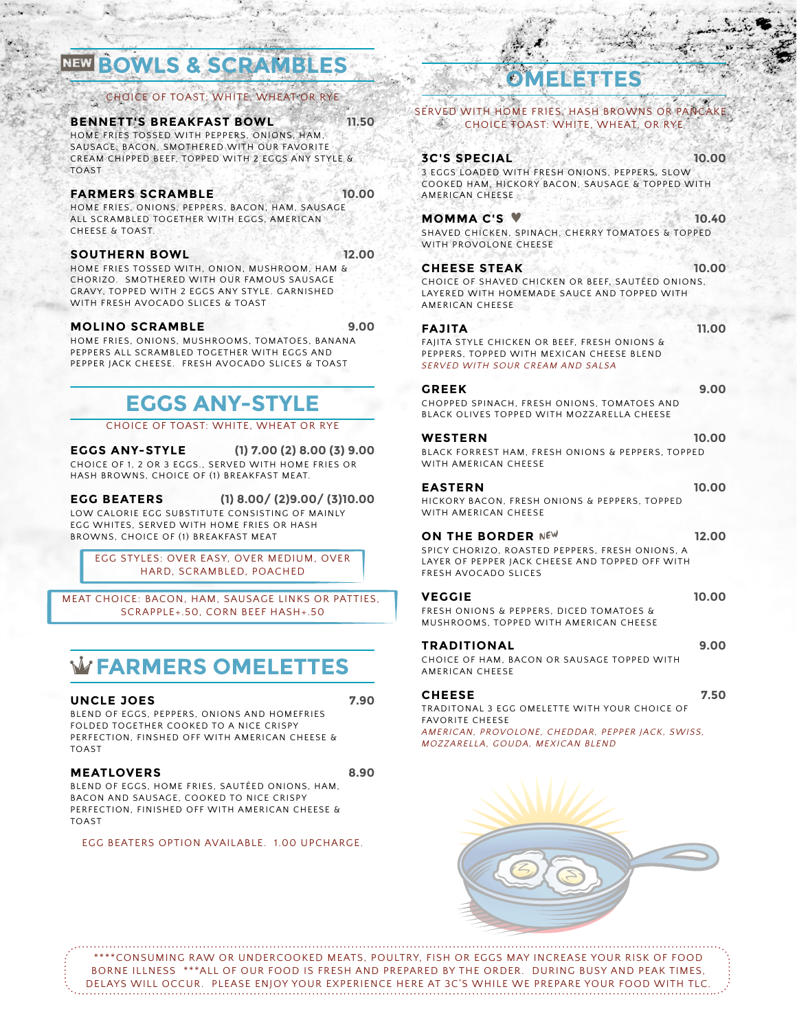## NEW **BOWLS & SCRA**

#### CHOICE OF TOAST; WHITE, WHEAT OR RYE

**BENNETT'S BREAKFAST BOWL 11.50**

HOME FRIES TOSSED WITH PEPPERS, ONIONS, HAM, SAUSAGE, BACON, SMOTHERED WITH OUR FAVORITE CREAM CHIPPED BEEF, TOPPED WITH 2 EGGS ANY STYLE & TOAST

#### **FARMERS SCRAMBLE 10.00**

HOME FRIES, ONIONS, PEPPERS, BACON, HAM, SAUSAGE ALL SCRAMBLED TOGETHER WITH EGGS, AMERICAN CHEESE & TOAST.

#### **SOUTHERN BOWL 12.00**

HOME FRIES TOSSED WITH, ONION, MUSHROOM, HAM & CHORIZO. SMOTHERED WITH OUR FAMOUS SAUSAGE GRAVY, TOPPED WITH 2 EGGS ANY STYLE. GARNISHED WITH FRESH AVOCADO SLICES & TOAST

#### **MOLINO SCRAMBLE 9.00**

HOME FRIES, ONIONS, MUSHROOMS, TOMATOES, BANANA PEPPERS ALL SCRAMBLED TOGETHER WITH EGGS AND PEPPER JACK CHEESE. FRESH AVOCADO SLICES & TOAST

## **EGGS ANY-STYLE**

CHOICE OF TOAST: WHITE, WHEAT OR RYE

**EGGS ANY-STYLE (1) 7.00 (2) 8.00 (3) 9.00** CHOICE OF 1, 2 OR 3 EGGS., SERVED WITH HOME FRIES OR HASH BROWNS, CHOICE OF (1) BREAKFAST MEAT.

**EGG BEATERS (1) 8.00/ (2)9.00/ (3)10.00** LOW CALORIE EGG SUBSTITUTE CONSISTING OF MAINLY EGG WHITES, SERVED WITH HOME FRIES OR HASH BROWNS, CHOICE OF (1) BREAKFAST MEAT

EGG STYLES: OVER EASY, OVER MEDIUM, OVER HARD, SCRAMBLED, POACHED

MEAT CHOICE: BACON, HAM, SAUSAGE LINKS OR PATTIES, SCRAPPLE+.50, CORN BEEF HASH+.50

## :**FARMERS OMELETTES**

**UNCLE JOES 7.90**

BLEND OF EGGS, PEPPERS, ONIONS AND HOMEFRIES FOLDED TOGETHER COOKED TO A NICE CRISPY PERFECTION, FINSHED OFF WITH AMERICAN CHEESE & TOAST

#### **MEATLOVERS 8.90**

BLEND OF EGGS, HOME FRIES, SAUTÉED ONIONS, HAM, BACON AND SAUSAGE, COOKED TO NICE CRISPY PERFECTION, FINISHED OFF WITH AMERICAN CHEESE & TOAST

EGG BEATERS OPTION AVAILABLE. 1.00 UPCHARGE.

## **OMELETTES**

SERVED WITH HOME FRIES, HASH BROWNS OR PANCAKE. CHOICE TOAST: WHITE, WHEAT, OR RYE

#### **3C'S SPECIAL 10.00**

3 EGGS LOADED WITH FRESH ONIONS, PEPPERS, SLOW COOKED HAM, HICKORY BACON, SAUSAGE & TOPPED WITH AMERICAN CHEESE

#### **MOMMA C'S 10.40** SHAVED CHICKEN, SPINACH, CHERRY TOMATOES & TOPPED

WITH PROVOLONE CHEESE

#### **CHEESE STEAK 10.00** CHOICE OF SHAVED CHICKEN OR BEEF, SAUTÉED ONIONS, LAYERED WITH HOMEMADE SAUCE AND TOPPED WITH AMERICAN CHEESE

#### **FAJITA 11.00** FAJITA STYLE CHICKEN OR BEEF, FRESH ONIONS &

PEPPERS, TOPPED WITH MEXICAN CHEESE BLEND *SERVED WITH SOUR CREAM AND SALSA*

#### **GREEK 9.00** CHOPPED SPINACH, FRESH ONIONS, TOMATOES AND BLACK OLIVES TOPPED WITH MOZZARELLA CHEESE

**WESTERN 10.00** BLACK FORREST HAM, FRESH ONIONS & PEPPERS, TOPPED WITH AMERICAN CHEESE

#### **EASTERN 10.00** HICKORY BACON, FRESH ONIONS & PEPPERS, TOPPED

WITH AMERICAN CHEESE

#### **ON THE BORDER NEW** 12.00

SPICY CHORIZO, ROASTED PEPPERS, FRESH ONIONS, A LAYER OF PEPPER JACK CHEESE AND TOPPED OFF WITH FRESH AVOCADO SLICES

#### **VEGGIE 10.00**

FRESH ONIONS & PEPPERS, DICED TOMATOES & MUSHROOMS, TOPPED WITH AMERICAN CHEESE

#### **TRADITIONAL 9.00**

CHOICE OF HAM, BACON OR SAUSAGE TOPPED WITH AMERICAN CHEESE

#### **CHEESE 7.50**

TRADITONAL 3 EGG OMELETTE WITH YOUR CHOICE OF FAVORITE CHEESE *AMERICAN, PROVOLONE, CHEDDAR, PEPPER JACK, SWISS, MOZZARELLA, GOUDA, MEXICAN BLEND*

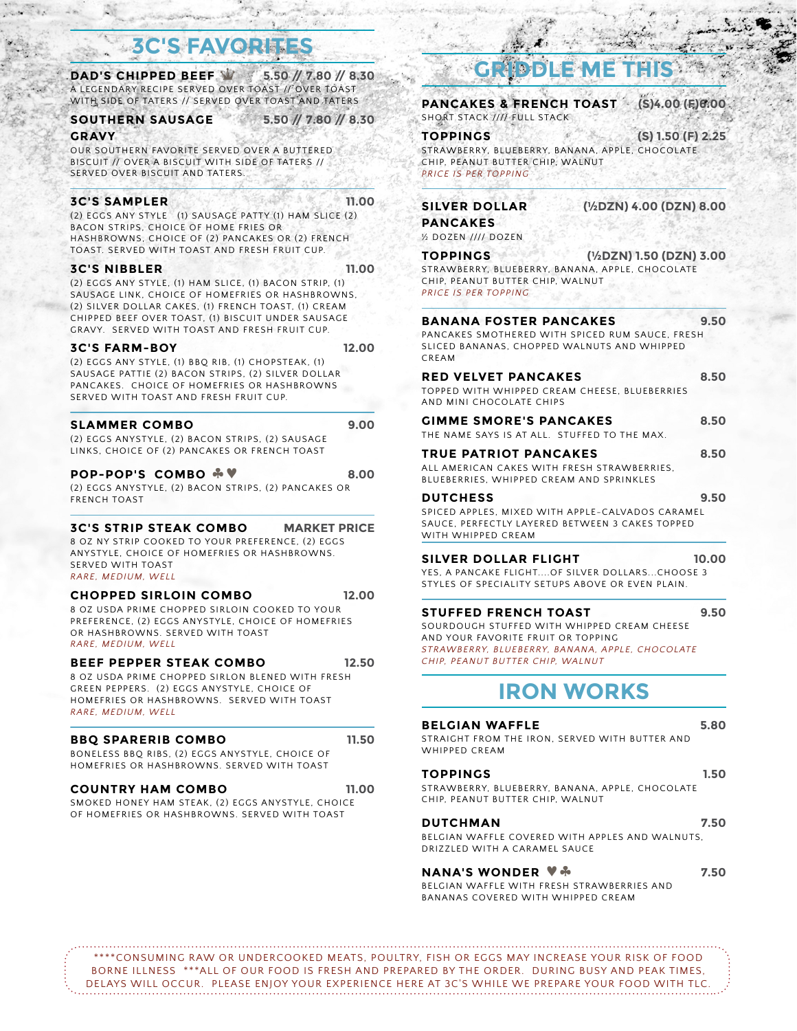## **SFAVORI**

**DAD'S CHIPPED BEEF** : **5.50 // 7.80 // 8.30** A LEGENDARY RECIPE SERVED OVER TOAST // OVER TOAST WITH SIDE OF TATERS // SERVED OVER TOAST AND TATERS

#### **SOUTHERN SAUSAGE 5.50 // 7.80 // 8.30**

#### **GRAVY**

OUR SOUTHERN FAVORITE SERVED OVER A BUTTERED BISCUIT // OVER A BISCUIT WITH SIDE OF TATERS // SERVED OVER BISCUIT AND TATERS.

#### **3C'S SAMPLER 11.00**

(2) EGGS ANY STYLE (1) SAUSAGE PATTY (1) HAM SLICE (2) BACON STRIPS, CHOICE OF HOME FRIES OR HASHBROWNS, CHOICE OF (2) PANCAKES OR (2) FRENCH TOAST. SERVED WITH TOAST AND FRESH FRUIT CUP.

#### **3C'S NIBBLER 11.00**

(2) EGGS ANY STYLE, (1) HAM SLICE, (1) BACON STRIP, (1) SAUSAGE LINK, CHOICE OF HOMEFRIES OR HASHBROWNS, (2) SILVER DOLLAR CAKES, (1) FRENCH TOAST, (1) CREAM CHIPPED BEEF OVER TOAST, (1) BISCUIT UNDER SAUSAGE GRAVY. SERVED WITH TOAST AND FRESH FRUIT CUP.

#### **3C'S FARM-BOY 12.00**

(2) EGGS ANY STYLE, (1) BBQ RIB, (1) CHOPSTEAK, (1) SAUSAGE PATTIE (2) BACON STRIPS, (2) SILVER DOLLAR PANCAKES. CHOICE OF HOMEFRIES OR HASHBROWNS SERVED WITH TOAST AND FRESH FRUIT CUP.

#### **SLAMMER COMBO 9.00**

(2) EGGS ANYSTYLE, (2) BACON STRIPS, (2) SAUSAGE LINKS, CHOICE OF (2) PANCAKES OR FRENCH TOAST

#### **POP-POP'S COMBO**  $\sqrt[4]{\ }$  8.00

(2) EGGS ANYSTYLE, (2) BACON STRIPS, (2) PANCAKES OR FRENCH TOAST

#### **3C'S STRIP STEAK COMBO MARKET PRICE**

8 OZ NY STRIP COOKED TO YOUR PREFERENCE, (2) EGGS ANYSTYLE, CHOICE OF HOMEFRIES OR HASHBROWNS. SERVED WITH TOAST *RARE, MEDIUM, WELL*

#### **CHOPPED SIRLOIN COMBO 12.00**

8 OZ USDA PRIME CHOPPED SIRLOIN COOKED TO YOUR PREFERENCE, (2) EGGS ANYSTYLE, CHOICE OF HOMEFRIES OR HASHBROWNS. SERVED WITH TOAST *RARE, MEDIUM, WELL*

**BEEF PEPPER STEAK COMBO 12.50** 8 OZ USDA PRIME CHOPPED SIRLON BLENED WITH FRESH GREEN PEPPERS. (2) EGGS ANYSTYLE, CHOICE OF HOMEFRIES OR HASHBROWNS. SERVED WITH TOAST

#### **BBQ SPARERIB COMBO 11.50**

*RARE, MEDIUM, WELL*

BONELESS BBQ RIBS, (2) EGGS ANYSTYLE, CHOICE OF HOMEFRIES OR HASHBROWNS. SERVED WITH TOAST

#### **COUNTRY HAM COMBO 11.00**

SMOKED HONEY HAM STEAK, (2) EGGS ANYSTYLE, CHOICE OF HOMEFRIES OR HASHBROWNS. SERVED WITH TOAST

## **GRIDDLE ME THIS**

**PANCAKES & FRENCH TOAST (S)4.00 (F)6.00** SHORT STACK //// FULL STACK

**TOPPINGS (S) 1.50 (F) 2.25** STRAWBERRY, BLUEBERRY, BANANA, APPLE, CHOCOLATE CHIP, PEANUT BUTTER CHIP, WALNUT *PRICE IS PER TOPPING*

#### **SILVER DOLLAR (½DZN) 4.00 (DZN) 8.00**

**PANCAKES**

½ DOZEN //// DOZEN

**TOPPINGS (½DZN) 1.50 (DZN) 3.00** STRAWBERRY, BLUEBERRY, BANANA, APPLE, CHOCOLATE CHIP, PEANUT BUTTER CHIP, WALNUT *PRICE IS PER TOPPING*

#### **BANANA FOSTER PANCAKES 9.50**

PANCAKES SMOTHERED WITH SPICED RUM SAUCE, FRESH SLICED BANANAS, CHOPPED WALNUTS AND WHIPPED CREAM

#### **RED VELVET PANCAKES 8.50**

TOPPED WITH WHIPPED CREAM CHEESE, BLUEBERRIES AND MINI CHOCOLATE CHIPS

#### **GIMME SMORE'S PANCAKES 8.50**

THE NAME SAYS IS AT ALL. STUFFED TO THE MAX. **TRUE PATRIOT PANCAKES 8.50**

ALL AMERICAN CAKES WITH FRESH STRAWBERRIES, BLUEBERRIES, WHIPPED CREAM AND SPRINKLES

#### **DUTCHESS 9.50**

SPICED APPLES, MIXED WITH APPLE-CALVADOS CARAMEL SAUCE, PERFECTLY LAYERED BETWEEN 3 CAKES TOPPED WITH WHIPPED CREAM

#### **SILVER DOLLAR FLIGHT 10.00**

YES, A PANCAKE FLIGHT....OF SILVER DOLLARS...CHOOSE 3 STYLES OF SPECIALITY SETUPS ABOVE OR EVEN PLAIN.

#### **STUFFED FRENCH TOAST 9.50**

SOURDOUGH STUFFED WITH WHIPPED CREAM CHEESE AND YOUR FAVORITE FRUIT OR TOPPING *STRAWBERRY, BLUEBERRY, BANANA, APPLE, CHOCOLATE CHIP, PEANUT BUTTER CHIP, WALNUT*

### **IRON WORKS**

#### **BELGIAN WAFFLE 5.80** STRAIGHT FROM THE IRON, SERVED WITH BUTTER AND WHIPPED CREAM

#### **TOPPINGS 1.50**

STRAWBERRY, BLUEBERRY, BANANA, APPLE, CHOCOLATE CHIP, PEANUT BUTTER CHIP, WALNUT

#### **DUTCHMAN 7.50**

BELGIAN WAFFLE COVERED WITH APPLES AND WALNUTS, DRIZZLED WITH A CARAMEL SAUCE

#### **NANA'S WONDER**  $\sqrt[n]{ }$  **7.50**

BELGIAN WAFFLE WITH FRESH STRAWBERRIES AND BANANAS COVERED WITH WHIPPED CREAM